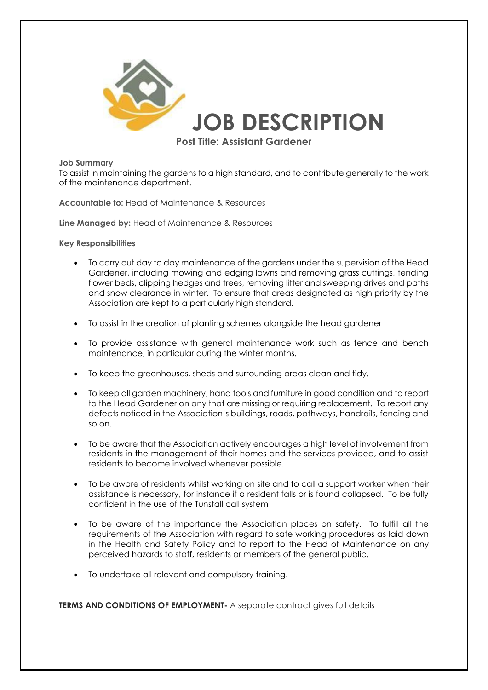

## **Job Summary**

To assist in maintaining the gardens to a high standard, and to contribute generally to the work of the maintenance department.

**Accountable to:** Head of Maintenance & Resources

**Line Managed by:** Head of Maintenance & Resources

**Key Responsibilities**

- To carry out day to day maintenance of the gardens under the supervision of the Head Gardener, including mowing and edging lawns and removing grass cuttings, tending flower beds, clipping hedges and trees, removing litter and sweeping drives and paths and snow clearance in winter. To ensure that areas designated as high priority by the Association are kept to a particularly high standard.
- To assist in the creation of planting schemes alongside the head gardener
- To provide assistance with general maintenance work such as fence and bench maintenance, in particular during the winter months.
- To keep the greenhouses, sheds and surrounding areas clean and tidy.
- To keep all garden machinery, hand tools and furniture in good condition and to report to the Head Gardener on any that are missing or requiring replacement. To report any defects noticed in the Association's buildings, roads, pathways, handrails, fencing and so on.
- To be aware that the Association actively encourages a high level of involvement from residents in the management of their homes and the services provided, and to assist residents to become involved whenever possible.
- To be aware of residents whilst working on site and to call a support worker when their assistance is necessary, for instance if a resident falls or is found collapsed. To be fully confident in the use of the Tunstall call system
- To be aware of the importance the Association places on safety. To fulfill all the requirements of the Association with regard to safe working procedures as laid down in the Health and Safety Policy and to report to the Head of Maintenance on any perceived hazards to staff, residents or members of the general public.
- To undertake all relevant and compulsory training.

**TERMS AND CONDITIONS OF EMPLOYMENT-** A separate contract gives full details